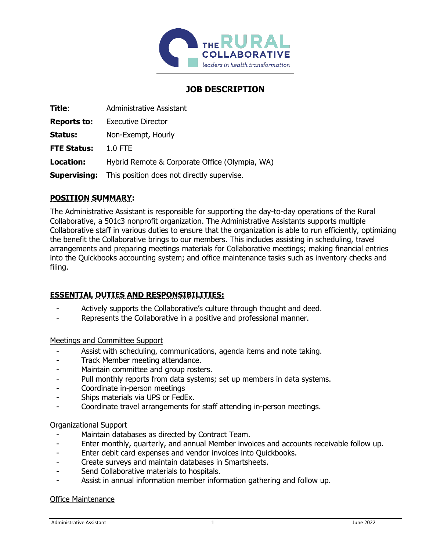

# **JOB DESCRIPTION**

| Title:              | Administrative Assistant                       |
|---------------------|------------------------------------------------|
| <b>Reports to:</b>  | <b>Executive Director</b>                      |
| Status:             | Non-Exempt, Hourly                             |
| <b>FTE Status:</b>  | $1.0$ FTE                                      |
| Location:           | Hybrid Remote & Corporate Office (Olympia, WA) |
| <b>Supervising:</b> | This position does not directly supervise.     |

### **POSITION SUMMARY:**

The Administrative Assistant is responsible for supporting the day-to-day operations of the Rural Collaborative, a 501c3 nonprofit organization. The Administrative Assistants supports multiple Collaborative staff in various duties to ensure that the organization is able to run efficiently, optimizing the benefit the Collaborative brings to our members. This includes assisting in scheduling, travel arrangements and preparing meetings materials for Collaborative meetings; making financial entries into the Quickbooks accounting system; and office maintenance tasks such as inventory checks and filing.

### **ESSENTIAL DUTIES AND RESPONSIBILITIES:**

- Actively supports the Collaborative's culture through thought and deed.
- Represents the Collaborative in a positive and professional manner.

#### Meetings and Committee Support

- Assist with scheduling, communications, agenda items and note taking.
- Track Member meeting attendance.
- Maintain committee and group rosters.
- Pull monthly reports from data systems; set up members in data systems.
- Coordinate in-person meetings
- Ships materials via UPS or FedEx.
- Coordinate travel arrangements for staff attending in-person meetings.

#### Organizational Support

- Maintain databases as directed by Contract Team.
- Enter monthly, quarterly, and annual Member invoices and accounts receivable follow up.
- Enter debit card expenses and vendor invoices into Quickbooks.
- Create surveys and maintain databases in Smartsheets.
- Send Collaborative materials to hospitals.
- Assist in annual information member information gathering and follow up.

#### Office Maintenance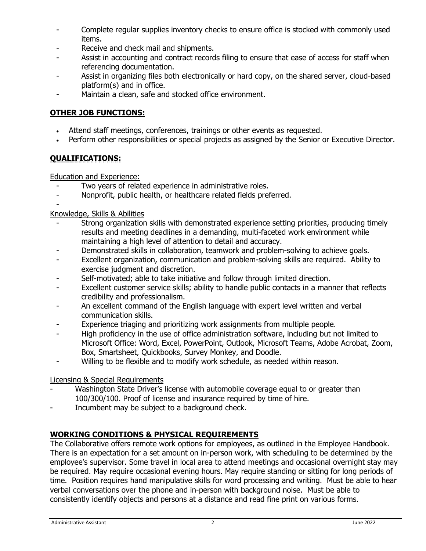- Complete regular supplies inventory checks to ensure office is stocked with commonly used items.
- Receive and check mail and shipments.
- Assist in accounting and contract records filing to ensure that ease of access for staff when referencing documentation.
- Assist in organizing files both electronically or hard copy, on the shared server, cloud-based platform(s) and in office.
- Maintain a clean, safe and stocked office environment.

## **OTHER JOB FUNCTIONS:**

- Attend staff meetings, conferences, trainings or other events as requested.
- Perform other responsibilities or special projects as assigned by the Senior or Executive Director.

# **QUALIFICATIONS:**

Education and Experience:

- Two years of related experience in administrative roles.
- Nonprofit, public health, or healthcare related fields preferred.

#### - Knowledge, Skills & Abilities

- Strong organization skills with demonstrated experience setting priorities, producing timely results and meeting deadlines in a demanding, multi-faceted work environment while maintaining a high level of attention to detail and accuracy.
- Demonstrated skills in collaboration, teamwork and problem-solving to achieve goals.
- Excellent organization, communication and problem-solving skills are required. Ability to exercise judgment and discretion.
- Self-motivated; able to take initiative and follow through limited direction.
- Excellent customer service skills; ability to handle public contacts in a manner that reflects credibility and professionalism.
- An excellent command of the English language with expert level written and verbal communication skills.
- Experience triaging and prioritizing work assignments from multiple people.
- High proficiency in the use of office administration software, including but not limited to Microsoft Office: Word, Excel, PowerPoint, Outlook, Microsoft Teams, Adobe Acrobat, Zoom, Box, Smartsheet, Quickbooks, Survey Monkey, and Doodle.
- Willing to be flexible and to modify work schedule, as needed within reason.

### Licensing & Special Requirements

- Washington State Driver's license with automobile coverage equal to or greater than 100/300/100. Proof of license and insurance required by time of hire.
- Incumbent may be subject to a background check.

### **WORKING CONDITIONS & PHYSICAL REQUIREMENTS**

The Collaborative offers remote work options for employees, as outlined in the Employee Handbook. There is an expectation for a set amount on in-person work, with scheduling to be determined by the employee's supervisor. Some travel in local area to attend meetings and occasional overnight stay may be required. May require occasional evening hours. May require standing or sitting for long periods of time. Position requires hand manipulative skills for word processing and writing. Must be able to hear verbal conversations over the phone and in-person with background noise. Must be able to consistently identify objects and persons at a distance and read fine print on various forms.